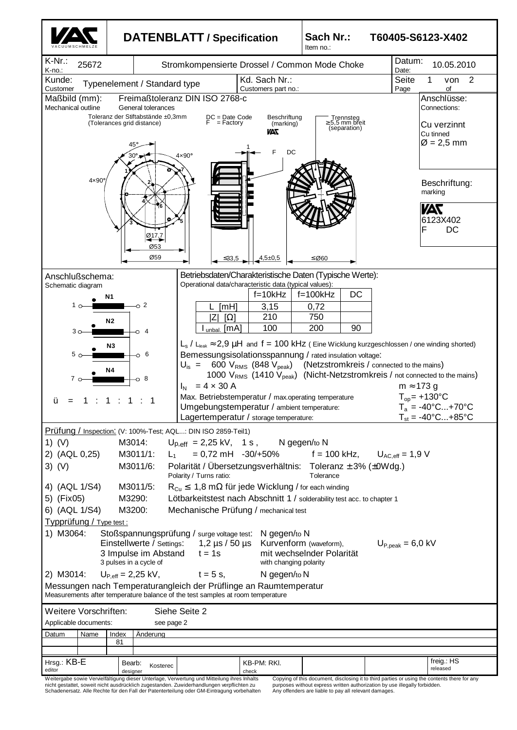

nicht gestattet, soweit nicht ausdrücklich zugestanden. Zuwiderhandlungen verpflichten zu Schadenersatz. Alle Rechte für den Fall der Patenterteilung oder GM-Eintragung vorbehalten

purposes without express written authorization by use illegally forbidden. Any offenders are liable to pay all relevant damages.